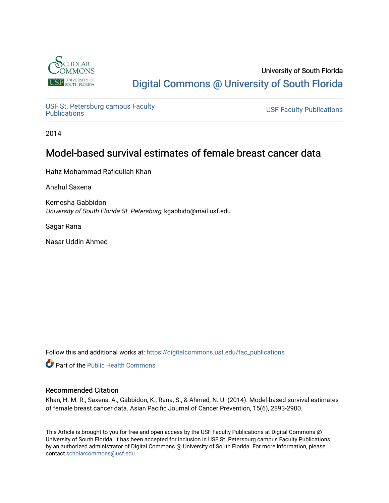

# University of South Florida [Digital Commons @ University of South Florida](https://digitalcommons.usf.edu/)

USF St. Petersburg campus Faculty<br>Publications

**USF Faculty Publications** 

2014

# Model-based survival estimates of female breast cancer data

Hafiz Mohammad Rafiqullah Khan

Anshul Saxena

Kemesha Gabbidon University of South Florida St. Petersburg, kgabbido@mail.usf.edu

Sagar Rana

Nasar Uddin Ahmed

Follow this and additional works at: [https://digitalcommons.usf.edu/fac\\_publications](https://digitalcommons.usf.edu/fac_publications?utm_source=digitalcommons.usf.edu%2Ffac_publications%2F3768&utm_medium=PDF&utm_campaign=PDFCoverPages)

Part of the [Public Health Commons](http://network.bepress.com/hgg/discipline/738?utm_source=digitalcommons.usf.edu%2Ffac_publications%2F3768&utm_medium=PDF&utm_campaign=PDFCoverPages) 

## Recommended Citation

Khan, H. M. R., Saxena, A., Gabbidon, K., Rana, S., & Ahmed, N. U. (2014). Model-based survival estimates of female breast cancer data. Asian Pacific Journal of Cancer Prevention, 15(6), 2893-2900.

This Article is brought to you for free and open access by the USF Faculty Publications at Digital Commons @ University of South Florida. It has been accepted for inclusion in USF St. Petersburg campus Faculty Publications by an authorized administrator of Digital Commons @ University of South Florida. For more information, please contact [scholarcommons@usf.edu](mailto:scholarcommons@usf.edu).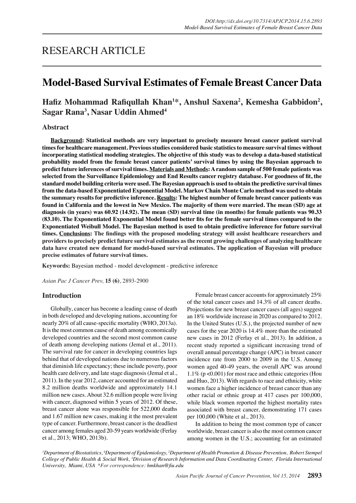## **Model-Based Survival Estimates of Female Breast Cancer Data**

## **Hafiz Mohammad Rafiqullah Khan<sup>1</sup> \*, Anshul Saxena<sup>2</sup> , Kemesha Gabbidon<sup>2</sup> , Sagar Rana3 , Nasar Uddin Ahmed<sup>4</sup>**

## **Abstract**

**Background: Statistical methods are very important to precisely measure breast cancer patient survival times for healthcare management. Previous studies considered basic statistics to measure survival times without incorporating statistical modeling strategies. The objective of this study was to develop a data-based statistical probability model from the female breast cancer patients' survival times by using the Bayesian approach to predict future inferences of survival times. Materials and Methods: A random sample of 500 female patients was selected from the Surveillance Epidemiology and End Results cancer registry database. For goodness of fit, the standard model building criteria were used. The Bayesian approach is used to obtain the predictive survival times from the data-based Exponentiated Exponential Model. Markov Chain Monte Carlo method was used to obtain the summary results for predictive inference. Results: The highest number of female breast cancer patients was found in California and the lowest in New Mexico. The majority of them were married. The mean (SD) age at diagnosis (in years) was 60.92 (14.92). The mean (SD) survival time (in months) for female patients was 90.33 (83.10). The Exponentiated Exponential Model found better fits for the female survival times compared to the Exponentiated Weibull Model. The Bayesian method is used to obtain predictive inference for future survival times. Conclusions: The findings with the proposed modeling strategy will assist healthcare researchers and providers to precisely predict future survival estimates as the recent growing challenges of analyzing healthcare data have created new demand for model-based survival estimates. The application of Bayesian will produce precise estimates of future survival times.**

**Keywords:** Bayesian method - model development - predictive inference

*Asian Pac J Cancer Prev,* **15 (6)**, 2893-2900

### **Introduction**

Globally, cancer has become a leading cause of death in both developed and developing nations, accounting for nearly 20% of all cause-specific mortality (WHO, 2013a). It is the most common cause of death among economically developed countries and the second most common cause of death among developing nations (Jemal et al., 2011). The survival rate for cancer in developing countries lags behind that of developed nations due to numerous factors that diminish life expectancy; these include poverty, poor health care delivery, and late stage diagnosis (Jemal et al., 2011). In the year 2012, cancer accounted for an estimated 8.2 million deaths worldwide and approximately 14.1 million new cases. About 32.6 million people were living with cancer, diagnosed within 5 years of 2012. Of these, breast cancer alone was responsible for 522,000 deaths and 1.67 million new cases, making it the most prevalent type of cancer. Furthermore, breast cancer is the deadliest cancer among females aged 20-59 years worldwide (Ferlay et al., 2013; WHO, 2013b).

Female breast cancer accounts for approximately 25% of the total cancer cases and 14.3% of all cancer deaths. Projections for new breast cancer cases (all ages) suggest an 18% worldwide increase in 2020 as compared to 2012. In the United States (U.S.), the projected number of new cases for the year 2020 is 14.4% more than the estimated new cases in 2012 (Ferlay et al., 2013). In addition, a recent study reported a significant increasing trend of overall annual percentage change (APC) in breast cancer incidence rate from 2000 to 2009 in the U.S. Among women aged 40-49 years, the overall APC was around 1.1% (p <0.001) for most race and ethnic categories (Hou and Huo, 2013). With regards to race and ethnicity, white women face a higher incidence of breast cancer than any other racial or ethnic group at 417 cases per 100,000, while black women reported the highest mortality rates associated with breast cancer, demonstrating 171 cases per 100,000 (White et al., 2013).

In addition to being the most common type of cancer worldwide, breast cancer is also the most common cancer among women in the U.S.; accounting for an estimated

*1 Department of Biostatistics, 4 Department of Epidemiology, 2 Department of Health Promotion & Disease Prevention, Robert Stempel College of Public Health & Social Work, 3 Division of Research Information and Data Coordinating Center, Florida International University, Miami, USA \*For correspondence: hmkhan@fiu.edu*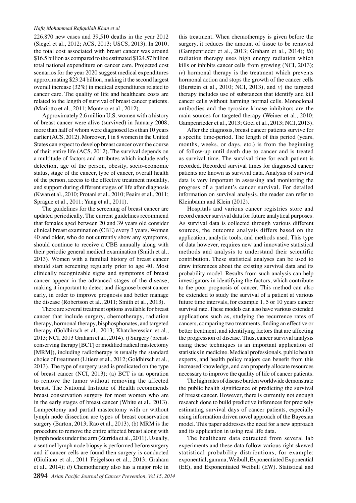#### *Hafiz Mohammad Rafiqullah Khan et al*

226,870 new cases and 39,510 deaths in the year 2012 (Siegel et al., 2012; ACS, 2013; USCS, 2013). In 2010, the total cost associated with breast cancer was around \$16.5 billion as compared to the estimated \$124.57 billion total national expenditure on cancer care. Projected cost scenarios for the year 2020 suggest medical expenditures approximating \$23.24 billion, making it the second largest overall increase (32%) in medical expenditures related to cancer care. The quality of life and healthcare costs are related to the length of survival of breast cancer patients. (Mariotto et al., 2011; Montero et al., 2012).

Approximately 2.6 million U.S. women with a history of breast cancer were alive (survived) in January 2008, more than half of whom were diagnosed less than 10 years earlier (ACS, 2012). Moreover, 1 in 8 women in the United States can expect to develop breast cancer over the course of their entire life (ACS, 2012). The survival depends on a multitude of factors and attributes which include early detection, age of the person, obesity, socio-economic status, stage of the cancer, type of cancer, overall health of the person, access to the effective treatment modality, and support during different stages of life after diagnosis (Kwan et al., 2010; Protani et al., 2010; Peairs et al., 2011; Sprague et al., 2011; Yang et al., 2011).

The guidelines for the screening of breast cancer are updated periodically. The current guidelines recommend that females aged between 20 and 39 years old consider clinical breast examination (CBE) every 3 years. Women 40 and older, who do not currently show any symptoms, should continue to receive a CBE annually along with their periodic general medical examination (Smith et al., 2013). Women with a familial history of breast cancer should start screening regularly prior to age 40. Most clinically recognizable signs and symptoms of breast cancer appear in the advanced stages of the disease, making it important to detect and diagnose breast cancer early, in order to improve prognosis and better manage the disease (Robertson et al., 2011; Smith et al., 2013).

There are several treatment options available for breast cancer that include surgery, chemotherapy, radiation therapy, hormonal therapy, bisphosphonates, and targeted therapy (Goldhirsch et al., 2013; Khatcheressian et al., 2013; NCI, 2013 Graham et al., 2014). *i*) Surgery (breastconserving therapy [BCT] or modified radical mastectomy [MRM]), including radiotherapy is usually the standard choice of treatment (Litiere et al., 2012; Goldhirsch et al., 2013). The type of surgery used is predicated on the type of breast cancer (NCI, 2013); (a) BCT is an operation to remove the tumor without removing the affected breast. The National Institute of Health recommends breast conservation surgery for most women who are in the early stages of breast cancer (White et al., 2013). Lumpectomy and partial mastectomy with or without lymph node dissection are types of breast conservation surgery (Barton, 2013; Rao et al., 2013), (b) MRM is the procedure to remove the entire affected breast along with lymph nodes under the arm (Zurrida et al., 2011). Usually, a sentinel lymph node biopsy is performed before surgery and if cancer cells are found then surgery is conducted (Giuliano et al., 2011 Feigelson et al., 2013; Graham et al., 2014); *ii*) Chemotherapy also has a major role in

this treatment. When chemotherapy is given before the surgery, it reduces the amount of tissue to be removed (Gampenrieder et al., 2013; Graham et al., 2014); *iii*) radiation therapy uses high energy radiation which kills or inhibits cancer cells from growing (NCI, 2013); *iv*) hormonal therapy is the treatment which prevents hormonal action and stops the growth of the cancer cells (Burstein et al., 2010; NCI, 2013), and *v*) the targeted therapy includes use of substances that identify and kill cancer cells without harming normal cells. Monoclonal antibodies and the tyrosine kinase inhibitors are the main sources for targeted therapy (Weiner et al., 2010; Gampenrieder et al., 2013; Goel et al., 2013; NCI, 2013).

After the diagnosis, breast cancer patients survive for a specific time-period. The length of this period (years, months, weeks, or days, etc.) is from the beginning of follow-up until death due to cancer and is treated as survival time. The survival time for each patient is recorded. Recorded survival times for diagnosed cancer patients are known as survival data. Analysis of survival data is very important in assessing and monitoring the progress of a patient's cancer survival. For detailed information on survival analysis, the reader can refer to Kleinbaum and Klein (2012).

Hospitals and various cancer registries store and record cancer survival data for future analytical purposes. As survival data is collected through various different sources, the outcome analysis differs based on the application, analytic tools, and methods used. This type of data however, requires new and innovative statistical methods and analysis to understand their scientific contribution. These statistical analyses can be used to draw inferences about the existing survival data and its probability model. Results from such analysis can help investigators in identifying the factors, which contribute to the poor prognosis of cancer. This method can also be extended to study the survival of a patient at various future time intervals, for example 1, 5 or 10 years cancer survival rate. These models can also have various extended applications such as, studying the recurrence rates of cancers, comparing two treatments, finding an effective or better treatment, and identifying factors that are affecting the progression of disease. Thus, cancer survival analysis using these techniques is an important application of statistics in medicine. Medical professionals, public health experts, and health policy majors can benefit from this increased knowledge, and can properly allocate resources necessary to improve the quality of life of cancer patients.

The high rates of disease burden worldwide demonstrate the public health significance of predicting the survival of breast cancer. However, there is currently not enough research done to build predictive inferences for precisely estimating survival days of cancer patients, especially using information driven novel approach of the Bayesian model. This paper addresses the need for a new approach and its application in using real life data.

The healthcare data extracted from several lab experiments and these data follow various right skewed statistical probability distributions, for example: exponential, gamma, Weibull, Exponentiated Exponential (EE), and Exponentiated Weibull (EW). Statistical and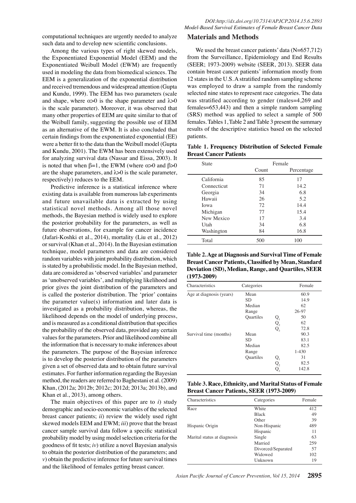computational techniques are urgently needed to analyze such data and to develop new scientific conclusions.

Among the various types of right skewed models, the Exponentiated Exponential Model (EEM) and the Exponentiated Weibull Model (EWM) are frequently used in modeling the data from biomedical sciences. The EEM is a generalization of the exponential distribution and received tremendous and widespread attention (Gupta and Kundu, 1999). The EEM has two parameters (scale and shape, where  $\alpha > 0$  is the shape parameter and  $\lambda > 0$ is the scale parameter). Moreover, it was observed that many other properties of EEM are quite similar to that of the Weibull family, suggesting the possible use of EEM as an alternative of the EWM. It is also concluded that certain findings from the exponentiated exponential (EE) were a better fit to the data than the Weibull model (Gupta and Kundu, 2001). The EWM has been extensively used for analyzing survival data (Nassar and Eissa, 2003). It is noted that when  $β=1$ , the EWM (where α>0 and  $β>0$ are the shape parameters, and  $\lambda$  > 0 is the scale parameter, respectively) reduces to the EEM.

Predictive inference is a statistical inference where existing data is available from numerous lab experiments and future unavailable data is extracted by using statistical novel methods. Among all those novel methods, the Bayesian method is widely used to explore the posterior probability for the parameters, as well as future observations, for example for cancer incidence (Jafari-Koshki et al., 2014), mortality (Liu et al., 2012) or survival (Khan et al., 2014). In the Bayesian estimation technique, model parameters and data are considered random variables with joint probability distribution, which is stated by a probabilistic model. In the Bayesian method, data are considered as 'observed variables' and parameter as 'unobserved variables', and multiplying likelihood and prior gives the joint distribution of the parameters and is called the posterior distribution. The 'prior' contains the parameter value(s) information and later data is investigated as a probability distribution, whereas, the likelihood depends on the model of underlying process, and is measured as a conditional distribution that specifies the probability of the observed data, provided any certain values for the parameters. Prior and likelihood combine all the information that is necessary to make inferences about the parameters. The purpose of the Bayesian inference is to develop the posterior distribution of the parameters given a set of observed data and to obtain future survival estimates. For further information regarding the Bayesian method, the readers are referred to Baghestani et al. (2009) Khan, (2012a; 2012b; 2012c; 2012d; 2013a; 2013b), and Khan et al., 2013), among others.

The main objectives of this paper are to *i*) study demographic and socio-economic variables of the selected breast cancer patients; *ii*) review the widely used right skewed models EEM and EWM; *iii*) prove that the breast cancer sample survival data follow a specific statistical probability model by using model selection criteria for the goodness of fit tests; *iv*) utilize a novel Bayesian analysis to obtain the posterior distribution of the parameters; and *v*) obtain the predictive inference for future survival times and the likelihood of females getting breast cancer.

#### **Materials and Methods**

We used the breast cancer patients' data (N=657,712) from the Surveillance, Epidemiology and End Results (SEER; 1973-2009) website (SEER, 2013). SEER data contain breast cancer patients' information mostly from 12 states in the U.S. A stratified random sampling scheme was employed to draw a sample from the randomly selected nine states to represent race categories. The data was stratified according to gender (males=4,269 and females=653,443) and then a simple random sampling (SRS) method was applied to select a sample of 500 females. Tables 1, Table 2 and Table 3 present the summary results of the descriptive statistics based on the selected patients.

#### **Table 1. Frequency Distribution of Selected Female Breast Cancer Patients**

| <b>State</b> | Female |            |
|--------------|--------|------------|
|              | Count  | Percentage |
| California   | 85     | 17         |
| Connecticut  | 71     | 14.2       |
| Georgia      | 34     | 6.8        |
| Hawaii       | 26     | 5.2        |
| Iowa         | 72     | 14.4       |
| Michigan     | 77     | 15.4       |
| New Mexico   | 17     | 3.4        |
| Utah         | 34     | 6.8        |
| Washington   | 84     | 16.8       |
| Total        | 500    | 100        |

**Table 2. Age at Diagnosis and Survival Time of Female Breast Cancer Patients, Classified by Mean, Standard Deviation (SD), Median, Range, and Quartiles, SEER (1973-2009)**

| Characteristics          | Categories       |                    | Female    |
|--------------------------|------------------|--------------------|-----------|
| Age at diagnosis (years) | Mean             |                    | 60.9      |
|                          | <b>SD</b>        |                    | 14.9      |
|                          | Median           |                    | 62        |
|                          | Range            |                    | 26-97     |
|                          | <b>Quartiles</b> | $Q_{1}$            | 50        |
|                          |                  |                    | 62        |
|                          |                  | $Q_2$ <sub>Q</sub> | 72.8      |
| Survival time (months)   | Mean             |                    | 90.3      |
|                          | <b>SD</b>        |                    | 83.1      |
|                          | Median           |                    | 82.5      |
|                          | Range            |                    | $1 - 430$ |
|                          | <b>Quartiles</b> | $Q_{1}$            | 31        |
|                          |                  | $Q_{2}$            | 82.5      |
|                          |                  | Q,                 | 142.8     |

| Table 3. Race, Ethnicity, and Marital Status of Female |
|--------------------------------------------------------|
| <b>Breast Cancer Patients, SEER (1973-2009)</b>        |

| Characteristics             | Categories         | Female |
|-----------------------------|--------------------|--------|
| Race                        | White              | 412    |
|                             | <b>Black</b>       | 49     |
|                             | Other              | 39     |
| Hispanic Origin             | Non-Hispanic       | 489    |
|                             | Hispanic           | 11     |
| Marital status at diagnosis | Single             | 63     |
|                             | Married            | 259    |
|                             | Divorced/Separated | 57     |
|                             | Widowed            | 102    |
|                             | <b>Unknown</b>     | 19     |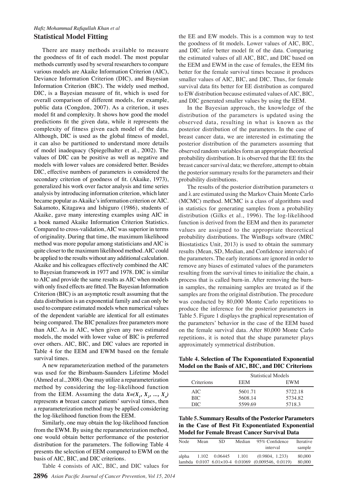## *Hafiz Mohammad Rafiqullah Khan et al* **Statistical Model Fitting**

There are many methods available to measure the goodness of fit of each model. The most popular methods currently used by several researchers to compare various models are Akaike Information Criterion (AIC), Deviance Information Criterion (DIC), and Bayesian Information Criterion (BIC). The widely used method, DIC, is a Bayesian measure of fit, which is used for overall comparison of different models, for example, public data (Congdon, 2007). As a criterion, it uses model fit and complexity. It shows how good the model predictions fit the given data, while it represents the complexity of fitness given each model of the data. Although, DIC is used as the global fitness of model, it can also be partitioned to understand more details of model inadequacy (Spiegelhalter et al., 2002). The values of DIC can be positive as well as negative and models with lower values are considered better. Besides DIC, effective numbers of parameters is considered the secondary criterion of goodness of fit. (Akaike, 1973), generalized his work over factor analysis and time series analysis by introducing information criterion, which later became popular as Akaike's information criterion or AIC. Sakamoto, Kitagawa and Ishiguro (1986), students of Akaike, gave many interesting examples using AIC in a book named Akaike Information Criterion Statistics. Compared to cross-validation, AIC was superior in terms of originality. During that time, the maximum likelihood method was more popular among statisticians and AIC is quite closer to the maximum likelihood method. AIC could be applied to the results without any additional calculation. Akaike and his colleagues effectively combined the AIC to Bayesian framework in 1977 and 1978. DIC is similar to AIC and provide the same results as AIC when models with only fixed effects are fitted. The Bayesian Information Criterion (BIC) is an asymptotic result assuming that the data distribution is an exponential family and can only be used to compare estimated models when numerical values of the dependent variable are identical for all estimates being compared. The BIC penalizes free parameters more than AIC. As in AIC, when given any two estimated models, the model with lower value of BIC is preferred over others. AIC, BIC, and DIC values are reported in Table 4 for the EEM and EWM based on the female survival times.

A new reparameterization method of the parameters was used for the Birnbaum-Saunders Lifetime Model (Ahmed et al., 2008). One may utilize a reparameterization method by considering the log-likelihood function from the EEM. Assuming the data  $X=(X_1, X_2, ..., X_n)$ represents *n* breast cancer patients' survival times, then a reparameterization method may be applied considering00.0 the log-likelihood function from the EEM.

Similarly, one may obtain the log-likelihood function from the EWM. By using the reparameterization method, **Model for Female Breast Cancer Survival Data** 75.0 one would obtain better performance of the posterior distribution for the parameters. The following Table 4 presents the selection of EEM compared to EWM on the basis of AIC, BIC, and DIC criterions.

Table 4 consists of AIC, BIC, and DIC values for

**2896** *Asian Pacific Journal of Cancer Prevention, Vol 15, 2014*

25.0

the EE and EW models. This is a common way to test the goodness of fit models. Lower values of AIC, BIC, and DIC infer better model fit of the data. Comparing the estimated values of all AIC, BIC, and DIC based on the EEM and EWM in the case of females, the EEM fits better for the female survival times because it produces smaller values of AIC, BIC, and DIC. Thus, for female survival data fits better for EE distribution as compared to EW distribution because estimated values of AIC, BIC, and DIC generated smaller values by using the EEM.

In the Bayesian approach, the knowledge of the distribution of the parameters is updated using the observed data, resulting in what is known as the posterior distribution of the parameters. In the case of breast cancer data, we are interested in estimating the posterior distribution of the parameters assuming that observed random variables form an appropriate theoretical probability distribution. It is observed that the EE fits the breast cancer survival data; we therefore, attempt to obtain the posterior summary results for the parameters and their probability distributions.

The results of the posterior distribution parameters  $\alpha$ and λ are estimated using the Markov Chain Monte Carlo (MCMC) method. MCMC is a class of algorithms used in statistics for generating samples from a probability distribution (Gilks et al., 1996). The log-likelihood function is derived from the EEM and then its parameter values are assigned to the appropriate theoretical probability distributions. The WinBugs software (MRC Biostatistics Unit, 2013) is used to obtain the summary results (Mean, SD, Median, and Confidence intervals) of the parameters. The early iterations are ignored in order to remove any biases of estimated values of the parameters resulting from the survival times to initialize the chain, a process that is called burn-in. After removing the burnin samples, the remaining samples are treated as if the samples are from the original distribution. The procedure was conducted by 80,000 Monte Carlo repetitions to produce the inference for the posterior parameters in Table 5. Figure 1 displays the graphical representation of the parameters' behavior in the case of the EEM based on the female survival data. After 80,000 Monte Carlo repetitions, it is noted that the shape parameter plays approximately symmetrical distribution.

| Table 4. Selection of The Exponentiated Exponential |
|-----------------------------------------------------|
| Model on the Basis of AIC, BIC, and DIC Criterions  |

|            | <b>Statistical Models</b> |            |  |
|------------|---------------------------|------------|--|
| Criterions | EEM                       | <b>EWM</b> |  |
| AIC.       | 5601.71                   | 5722.18    |  |
| <b>BIC</b> | 5608.14                   | 5734.82    |  |
| DIC        | 5599.69                   | 5718.3     |  |
|            |                           |            |  |

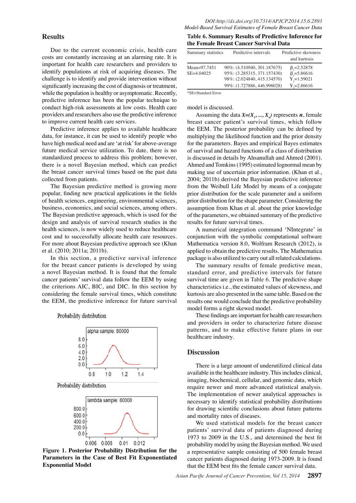## **Results**

Due to the current economic crisis, health care costs are constantly increasing at an alarming rate. It is important for health care researchers and providers to identify populations at risk of acquiring diseases. The challenge is to identify and provide intervention without significantly increasing the cost of diagnosis or treatment, while the population is healthy or asymptomatic. Recently, predictive inference has been the popular technique to conduct high-risk assessments at low costs. Health care providers and researchers also use the predictive inference to improve current health care services.

Predictive inference applies to available healthcare data, for instance, it can be used to identify people who have high medical need and are 'at risk' for above-average future medical service utilization. To date, there is no standardized process to address this problem; however, there is a novel Bayesian method, which can predict the breast cancer survival times based on the past data collected from patients.

The Bayesian predictive method is growing more popular, finding new practical applications in the fields of health sciences, engineering, environmental sciences, business, economics, and social sciences, among others. The Bayesian predictive approach, which is used for the design and analysis of survival research studies in the health sciences, is now widely used to reduce healthcare cost and to successfully allocate health care resources. For more about Bayesian predictive approach see (Khan et al. (2010; 2011a; 2011b).

In this section, a predictive survival inference for the breast cancer patients is developed by using a novel Bayesian method. It is found that the female cancer patients' survival data follow the EEM by using the criterions AIC, BIC, and DIC. In this section by considering the female survival times, which constitute the EEM, the predictive inference for future survival





Probability distribution



**Figure 1. Posterior Probability Distribution for the Parameters in the Case of Best Fit Exponentiated Exponential Model**

#### **Table 6. Summary Results of Predictive Inference for the Female Breast Cancer Survival Data**

| Summary statistics | Predictive intervals        | Predictive skewness |
|--------------------|-----------------------------|---------------------|
|                    |                             | and kurtosis        |
| Mean=97.7451       | 90%: (4.510940, 301.187675) | $\beta$ ,=2.52878   |
| $SE = 4.04025$     | 95%: (3.285315, 371.157430) | $\beta$ ,=5.86616   |
|                    | 98%: (2.024840, 415.134570) | $Y = 1.59021$       |
|                    | 99%: (1.727886, 446.996028) | $Y_{0} = 2.86616$   |

\*SE=Standard Error

model is discussed.

Assuming the data  $X=(X_1, ..., X_n)$  represents *n*, female breast cancer patient's survival times, which follow the EEM. The posterior probability can be defined by multiplying the likelihood function and the prior density for the parameters. Bayes and empirical Bayes estimates of survival and hazard functions of a class of distribution is discussed in details by Ahsanullah and Ahmed (2001). Ahmed and Tomkins (1995) estimated lognormal mean by making use of uncertain prior information. (Khan et al., 2004; 2011b) derived the Bayesian predictive inference from the Weibull Life Model by means of a conjugate prior distribution for the scale parameter and a uniform prior distribution for the shape parameter. Considering the assumption from Khan et al. about the prior knowledge of the parameters, we obtained summary of the predictive results for future survival times.

A numerical integration command 'NIntegrate' in conjunction with the symbolic computational software Mathematica version 8.0, Wolfram Research (2012), is applied to obtain the predictive results. The Mathematica package is also utilized to carry out all related calculations.

The summary results of female predictive mean, standard error, and predictive intervals for future survival time are given in Table 6. The predictive shape characteristics i.e., the estimated values of skewness, and kurtosis are also presented in the same table. Based on the results one would conclude that the predictive probability model forms a right skewed model.

These findings are important for health care researchers and providers in order to characterize future disease patterns, and to make effective future plans in our healthcare industry.

### **Discussion**

There is a large amount of underutilized clinical data available in the healthcare industry. This includes clinical, imaging, biochemical, cellular, and genomic data, which require newer and more advanced statistical analysis. The implementation of newer analytical approaches is necessary to identify statistical probability distributions for drawing scientific conclusions about future patterns and mortality rates of diseases.

We used statistical models for the breast cancer patients' survival data of patients diagnosed during 1973 to 2009 in the U.S., and determined the best fit probability model by using the Bayesian method. We used a representative sample consisting of 500 female breast cancer patients diagnosed during 1973-2009. It is found that the EEM best fits the female cancer survival data.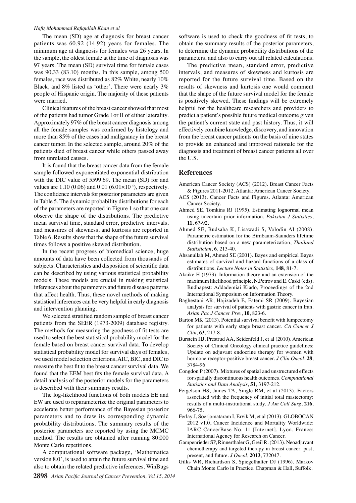#### *Hafiz Mohammad Rafiqullah Khan et al*

The mean (SD) age at diagnosis for breast cancer patients was 60.92 (14.92) years for females. The minimum age at diagnosis for females was 26 years. In the sample, the oldest female at the time of diagnosis was 97 years. The mean (SD) survival time for female cases was 90.33 (83.10) months. In this sample, among 500 females, race was distributed as 82% White, nearly 10% Black, and 8% listed as 'other'. There were nearly 3% people of Hispanic origin. The majority of these patients were married.

Clinical features of the breast cancer showed that most of the patients had tumor Grade I or II of either laterality. Approximately 97% of the breast cancer diagnosis among all the female samples was confirmed by histology and more than 85% of the cases had malignancy in the breast cancer tumor. In the selected sample, around 20% of the patients died of breast cancer while others passed away from unrelated causes.

It is found that the breast cancer data from the female sample followed exponentiated exponential distribution with the DIC value of 5599.69. The mean (SD) for and values are  $1.10 (0.06)$  and  $0.01 (6.01 \times 10^{-4})$ , respectively. The confidence intervals for posterior parameters are given in Table 5. The dynamic probability distributions for each of the parameters are reported in Figure 1 so that one can observe the shape of the distributions. The predictive mean survival time, standard error, predictive intervals, and measures of skewness, and kurtosis are reported in Table 6. Results show that the shape of the future survival times follows a positive skewed distribution.

In the recent progress of biomedical science, huge amounts of data have been collected from thousands of subjects. Characteristics and disposition of scientific data can be described by using various statistical probability models. These models are crucial in making statistical inferences about the parameters and future disease patterns that affect health. Thus, these novel methods of making statistical inferences can be very helpful in early diagnosis and intervention planning.

We selected stratified random sample of breast cancer patients from the SEER (1973-2009) database registry. The methods for measuring the goodness of fit tests are used to select the best statistical probability model for the female based on breast cancer survival data. To develop statistical probability model for survival days of females, we used model selection criterions, AIC, BIC, and DIC to measure the best fit to the breast cancer survival data. We found that the EEM best fits the female survival data. A detail analysis of the posterior models for the parameters is described with their summary results.

The log-likelihood functions of both models EE and EW are used to reparameterize the original parameters to accelerate better performance of the Bayesian posterior parameters and to draw its corresponding dynamic probability distributions. The summary results of the posterior parameters are reported by using the MCMC method. The results are obtained after running 80,000 Monte Carlo repetitions.

A computational software package, 'Mathematica version 8.0', is used to attain the future survival time and also to obtain the related predictive inferences. WinBugs

software is used to check the goodness of fit tests, to obtain the summary results of the posterior parameters, to determine the dynamic probability distributions of the parameters, and also to carry out all related calculations.

The predictive mean, standard error, predictive intervals, and measures of skewness and kurtosis are reported for the future survival time. Based on the results of skewness and kurtosis one would comment that the shape of the future survival model for the female is positively skewed. These findings will be extremely helpful for the healthcare researchers and providers to predict a patient's possible future medical outcome given the patient's current state and past history. Thus, it will effectively combine knowledge, discovery, and innovation from the breast cancer patients on the basis of nine states to provide an enhanced and improved rationale for the diagnosis and treatment of breast cancer patients all over the U.S.

#### **References**

- American Cancer Society (ACS) (2012). Breast Cancer Facts & Figures 2011-2012. Atlanta: American Cancer Society.
- ACS (2013). Cancer Facts and Figures. Atlanta: American Cancer Society.
- Ahmed SE, Tomkins RJ (1995). Estimating lognormal mean using uncertain prior information, *Pakistan J Statistics*, **11**, 67-92.
- Ahmed SE, Budsaba K, Lisawadi S, Volodin AI (2008). Parametric estimation for the Birnbaum-Saunders lifetime distribution based on a new parameterization, *Thailand Statistician*, **6**, 213-40.
- Ahsanullah M, Ahmed SE (2001). Bayes and empirical Bayes estimates of survival and hazard functions of a class of distributions. *Lecture Notes in Statistics*, **148**, 81-7.
- Akaike H (1973). Information theory and an extension of the maximum likelihood principle. N.Petrov and E. Caski (eds), Budhapest: Addademiai Kiado, Proceedings of the 2nd International Symposium on Information Theory.
- Baghestani AR, Hajizadeh E, Fatemi SR (2009). Bayesian analysis for survival of patients with gastric cancer in Iran. *Asian Pac J Cancer Prev*, **10**, 823-6.
- Barton MK (2013). Potential survival benefit with lumpectomy for patients with early stage breast cancer. *CA Cancer J Clin*, **63**, 217-8.
- Burstein HJ, Prestrud AA, Seidenfeld J, et al (2010). American Society of Clinical Oncology clinical practice guidelines: Update on adjuvant endocrine therapy for women with hormone receptor-positive breast cancer. *J Clin Oncol*, **28**, 3784-96
- Congdon P (2007). Mixtures of spatial and unstructured effects for spatially discontinuous health outcomes. *Computational Statistics and Data Analysis*, **51**, 3197-212.
- Feigelson HS, James TA, Single RM, et al (2013). Factors associated with the frequency of initial total mastectomy: results of a multi-institutional study. *J Am Coll Surg*, **216**, 966-75.
- Ferlay J, Soerjomataram I, Ervik M, et al (2013). GLOBOCAN 2012 v1.0, Cancer Incidence and Mortality Worldwide: IARC CancerBase No. 11 [Internet]. Lyon, France: International Agency for Research on Cancer.
- Gampenrieder SP, Rinnerthaler G, Greil R. (2013). Neoadjuvant chemotherapy and targeted therapy in breast cancer: past, present, and future. *J Oncol*, **2013**, 732047.
- Gilks WR, Richardson S, Spiegelhalter DJ (1996). Markov Chain Monte Carlo in Practice. Chapman & Hall, Suffolk.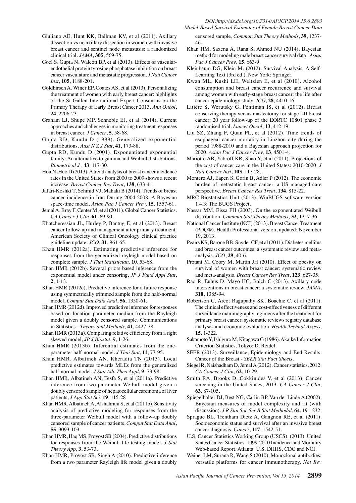- Giuliano AE, Hunt KK, Ballman KV, et al (2011). Axillary dissection vs no axillary dissection in women with invasive breast cancer and sentinel node metastasis: a randomized clinical trial. *JAMA*, **305**, 569-75.
- Goel S, Gupta N, Walcott BP, et al (2013). Effects of vascularendothelial protein tyrosine phosphatase inhibition on breast cancer vasculature and metastatic progression. *J Natl Cancer Inst*, **105**, 1188-201.
- Goldhirsch A, Winer EP, Coates AS, et al (2013). Personalizing the treatment of women with early breast cancer: highlights of the St Gallen International Expert Consensus on the Primary Therapy of Early Breast Cancer 2013. *Ann Oncol*, **24**, 2206-23.
- Graham LJ, Shupe MP, Schneble EJ, et al (2014). Current approaches and challenges in monitoring treatment responses in breast cancer. *J Cancer*, **5**, 58-68.
- Gupta RD, Kundu D (1999). Generalized exponential distributions. *Aust N Z J Stat*, **41**, 173-88.
- Gupta RD, Kundu D (2001). Exponentiated exponential family: An alternative to gamma and Weibull distributions. *Biometrical J* , **43**, 117-30.
- Hou N, Huo D (2013). A trend analysis of breast cancer incidence rates in the United States from 2000 to 2009 shows a recent increase. *Breast Cancer Res Treat*, **138**, 633-41.
- Jafari-Koshki T, Schmid VJ, Mahaki B (2014). Trends of breast cancer incidence in Iran During 2004-2008: A Bayesian space-time model. *Asian Pac J Cancer Prev*, **15**, 1557-61.
- Jemal A, Bray F, Center M, et al (2011). Global Cancer Statistics. *CA Cancer J Clin*, **61**, 69-90.
- Khatcheressian JL, Hurley P, Bantug E, et al (2013). Breast cancer follow-up and management after primary treatment: American Society of Clinical Oncology clinical practice guideline update. *JCO*, **31**, 961-65.
- Khan HMR (2012a). Estimating predictive inference for responses from the generalized rayleigh model based on complete sample, *J Thai Statistician*, **10**, 53-68.
- Khan HMR (2012b). Several priors based inference from the exponential model under censoring, *JP J Fund Appl Stat*, **2**, 1-13.
- Khan HMR (2012c). Predictive inference for a future response using symmetrically trimmed sample from the half-normal model, *Comput Stat Data Anal*, **56**, 1350-61.
- Khan HMR (2012d). Improved predictive inference for responses based on location parameter median from the Rayleigh model given a doubly censored sample, Communications in Statistics - *Theory and Methods*, **41**, 4427-38.
- Khan HMR (2013a). Comparing relative efficiency from a right skewed model, *JP J Biostat*, 9, 1-26.
- Khan HMR (2013b). Inferential estimates from the oneparameter half-normal model. *J Thai Stat*, **11**, 77-95.
- Khan HMR, Albatineh AN, Kheradia TN (2013). Local predictive estimates towards MLEs from the generalized half-normal model. *J Stat Adv Theo Appl*, **9**, 73-98.
- Khan HMR, Albatineh AN, Tesfa S, et al (2011a). Predictive inference from two-parameter Weibull model given a doubly censored sample of hepatocellular carcinoma of liver patients, *J App Stat Sci*, **19**, 115-28
- Khan HMR, Albatineh A, Alshahrani S, et al (2011b). Sensitivity analysis of predictive modeling for responses from the three-parameter Weibull model with a follow-up doubly censored sample of cancer patients, *Comput Stat Data Anal*, **55**, 3093-103.
- Khan HMR, Haq MS, Provost SB (2004). Predictive distributions for responses from the Weibull life testing model. *J Stat Theory App*, **3**, 53-73.
- Khan HMR, Provost SB, Singh A (2010). Predictive inference from a two parameter Rayleigh life model given a doubly

censored sample, *Commun Stat Theory Methods*, **39**, 1237- 46.

- Khan HM, Saxena A, Rana S, Ahmed NU (2014). Bayesian method for modeling male breast cancer survival data.. *Asian Pac J Cancer Prev*, **15**, 663-9.
- Kleinbaum DG, Klein M. (2012). Survival Analysis: A Self-Learning Text (3rd ed.). New York: Springer.
- Kwan ML, Kushi LH, Weltzien E, et al (2010). Alcohol consumption and breast cancer recurrence and survival among women with early-stage breast cancer: the life after cancer epidemiology study. *JCO*, **28**, 4410-16.
- Litière S, Werutsky G, Fentiman IS, et al (2012). Breast conserving therapy versus mastectomy for stage I-II breast cancer: 20 year follow-up of the EORTC 10801 phase 3 randomised trial. *Lancet Oncol*, **13**, 412-19.
- Liu SZ, Zhang F, Quan PL, et al (2012). Time trends of esophageal cancer mortality in Linzhou city during the period 1988-2010 and a Bayesian approach projection for 2020. *Asian Pac J Cancer Prev*, **13**, 4501-4.
- Mariotto AB, Yabroff KR, Shao Y, et al (2011). Projections of the cost of cancer care in the United States: 2010-2020. *J Natl Cancer Inst*, **103**, 117-28.
- Montero AJ, Eapen S, Gorin B, Adler P (2012). The economic burden of metastatic breast cancer: a US managed care perspective. *Breast Cancer Res Treat*, **134**, 815-22.
- MRC Biostatistics Unit (2013). WinBUGS software version 1.4.3: The BUGS Project.
- Nassar MM, Eissa FH (2003). On the exponentiated Weibull distribution. *Commun Stat Theory Methods*, **32**, 1317-36.
- National Cancer Institute (NCI) (2013). Breast Cancer Treatment (PDQ®). Health Professional version, updated: November 19, 2013.
- Peairs KS, Barone BB, Snyder CF, et al (2011). Diabetes mellitus and breast cancer outcomes: a systematic review and metaanalysis. *JCO*, **29**, 40-6.
- Protani M, Coory M, Martin JH (2010). Effect of obesity on survival of women with breast cancer: systematic review and meta-analysis. *Breast Cancer Res Treat*, **123**, 627-35.
- Rao R, Euhus D, Mayo HG, Balch C (2013). Axillary node interventions in breast cancer: a systematic review. *JAMA*, **310**, 1385-94.
- Robertson C, Arcot Ragupathy SK, Boachie C, et al (2011). The clinical effectiveness and cost-effectiveness of different surveillance mammography regimens after the treatment for primary breast cancer: systematic reviews registry database analyses and economic evaluation. *Health Technol Assess*, **15**, 1-322.
- Sakamoto Y, Ishiguro M, Kitagawa G (1986). Akaike Information Criterion Statistics. Tokyo: D. Reidel.
- SEER (2013). Surveillance, Epidemiology and End Results. Cancer of the Breast - *SEER Stat Fact Sheets*.
- Siegel R, Naishadham D, Jemal A (2012). Cancer statistics, 2012. *CA Cancer J Clin*, **62**, 10-29.
- Smith RA, Brooks D, Cokkinides V, et al (2013). Cancer screening in the United States, 2013. *CA Cancer J Clin*, **63**, 87-105.
- Spiegelhalter DJ, Best NG, Carlin BP, Van der Linde A (2002). Bayesian measures of model complexity and fit (with discussion). *J R Stat Soc Ser B Stat Methodol*, **64**, 191-232.
- Sprague BL, Trentham Dietz A, Gangnon RE, et al (2011). Socioeconomic status and survival after an invasive breast cancer diagnosis. *Cancer*, **117**, 1542-51.
- U.S. Cancer Statistics Working Group (USCS). (2013). United States Cancer Statistics: 1999-2010 Incidence and Mortality Web-based Report. Atlanta: U.S. DHHS, CDC and NCI.
- Weiner LM, Surana R, Wang S (2010). Monoclonal antibodies: versatile platforms for cancer immunotherapy. *Nat Rev*